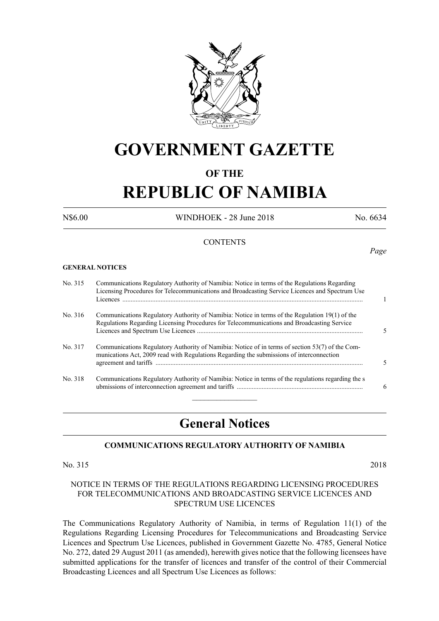

# **GOVERNMENT GAZETTE**

# **OF THE**

# **REPUBLIC OF NAMIBIA**

N\$6.00 WINDHOEK - 28 June 2018 No. 6634

*Page*

# **CONTENTS**

**GENERAL NOTICES**

| No. 315 | Communications Regulatory Authority of Namibia: Notice in terms of the Regulations Regarding<br>Licensing Procedures for Telecommunications and Broadcasting Service Licences and Spectrum Use |   |
|---------|------------------------------------------------------------------------------------------------------------------------------------------------------------------------------------------------|---|
| No. 316 | Communications Regulatory Authority of Namibia: Notice in terms of the Regulation 19(1) of the<br>Regulations Regarding Licensing Procedures for Telecommunications and Broadcasting Service   |   |
| No. 317 | Communications Regulatory Authority of Namibia: Notice of in terms of section 53(7) of the Com-<br>munications Act, 2009 read with Regulations Regarding the submissions of interconnection    |   |
| No. 318 | Communications Regulatory Authority of Namibia: Notice in terms of the regulations regarding the s                                                                                             | 6 |

# **General Notices**

# **COMMUNICATIONS REGULATORY AUTHORITY OF NAMIBIA**

No. 315 2018

# NOTICE IN TERMS OF THE REGULATIONS REGARDING LICENSING PROCEDURES FOR TELECOMMUNICATIONS AND BROADCASTING SERVICE LICENCES AND SPECTRUM USE LICENCES

The Communications Regulatory Authority of Namibia, in terms of Regulation 11(1) of the Regulations Regarding Licensing Procedures for Telecommunications and Broadcasting Service Licences and Spectrum Use Licences, published in Government Gazette No. 4785, General Notice No. 272, dated 29 August 2011 (as amended), herewith gives notice that the following licensees have submitted applications for the transfer of licences and transfer of the control of their Commercial Broadcasting Licences and all Spectrum Use Licences as follows: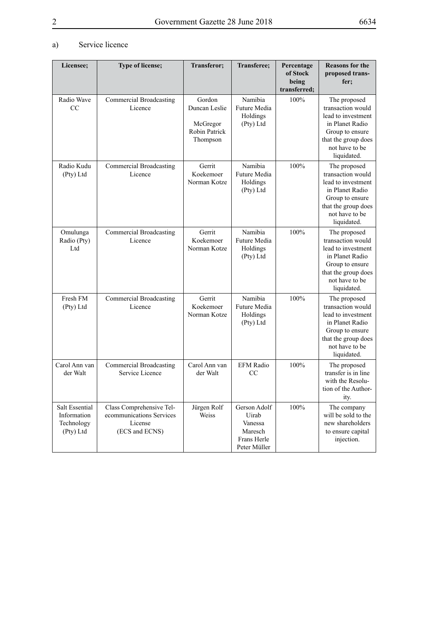# a) Service licence

| Licensee:                                                       | Type of license;                                                                  | Transferor;                                                             | Transferee;                                                                | Percentage<br>of Stock<br>being<br>transferred; | <b>Reasons for the</b><br>proposed trans-<br>fer;                                                                                                     |
|-----------------------------------------------------------------|-----------------------------------------------------------------------------------|-------------------------------------------------------------------------|----------------------------------------------------------------------------|-------------------------------------------------|-------------------------------------------------------------------------------------------------------------------------------------------------------|
| Radio Wave<br>CC                                                | <b>Commercial Broadcasting</b><br>Licence                                         | Gordon<br>Duncan Leslie<br>McGregor<br><b>Robin Patrick</b><br>Thompson | Namibia<br>Future Media<br>Holdings<br>(Pty) Ltd                           | 100%                                            | The proposed<br>transaction would<br>lead to investment<br>in Planet Radio<br>Group to ensure<br>that the group does<br>not have to be<br>liquidated. |
| Radio Kudu<br>(Pty) Ltd                                         | Commercial Broadcasting<br>Licence                                                | Gerrit<br>Koekemoer<br>Norman Kotze                                     | Namibia<br>Future Media<br>Holdings<br>(Pty) Ltd                           | 100%                                            | The proposed<br>transaction would<br>lead to investment<br>in Planet Radio<br>Group to ensure<br>that the group does<br>not have to be<br>liquidated. |
| Omulunga<br>Radio (Pty)<br>Ltd                                  | Commercial Broadcasting<br>Licence                                                | Gerrit<br>Koekemoer<br>Norman Kotze                                     | Namibia<br>Future Media<br>Holdings<br>(Pty) Ltd                           | 100%                                            | The proposed<br>transaction would<br>lead to investment<br>in Planet Radio<br>Group to ensure<br>that the group does<br>not have to be<br>liquidated. |
| Fresh FM<br>(Pty) Ltd                                           | Commercial Broadcasting<br>Licence                                                | Gerrit<br>Koekemoer<br>Norman Kotze                                     | Namibia<br>Future Media<br>Holdings<br>(Pty) Ltd                           | 100%                                            | The proposed<br>transaction would<br>lead to investment<br>in Planet Radio<br>Group to ensure<br>that the group does<br>not have to be<br>liquidated. |
| Carol Ann van<br>der Walt                                       | <b>Commercial Broadcasting</b><br>Service Licence                                 | Carol Ann van<br>der Walt                                               | <b>EFM Radio</b><br>CC                                                     | 100%                                            | The proposed<br>transfer is in line<br>with the Resolu-<br>tion of the Author-<br>ity.                                                                |
| <b>Salt Essential</b><br>Information<br>Technology<br>(Pty) Ltd | Class Comprehensive Tel-<br>ecommunications Services<br>License<br>(ECS and ECNS) | Jürgen Rolf<br>Weiss                                                    | Gerson Adolf<br>Uirab<br>Vanessa<br>Maresch<br>Frans Herle<br>Peter Müller | 100%                                            | The company<br>will be sold to the<br>new shareholders<br>to ensure capital<br>injection.                                                             |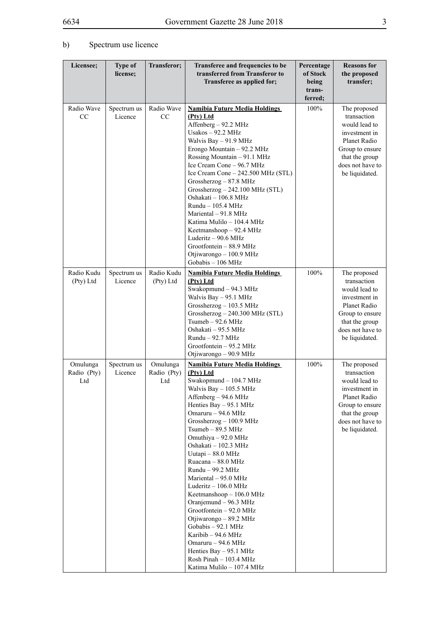# b) Spectrum use licence

| Licensee;                      | <b>Type of</b><br>license; | Transferor;                    | Transferee and frequencies to be<br>transferred from Transferor to<br>Transferee as applied for;                                                                                                                                                                                                                                                                                                                                                                                                                                                                                                                                                           | Percentage<br>of Stock<br>being | <b>Reasons for</b><br>the proposed<br>transfer;                                                                                                          |
|--------------------------------|----------------------------|--------------------------------|------------------------------------------------------------------------------------------------------------------------------------------------------------------------------------------------------------------------------------------------------------------------------------------------------------------------------------------------------------------------------------------------------------------------------------------------------------------------------------------------------------------------------------------------------------------------------------------------------------------------------------------------------------|---------------------------------|----------------------------------------------------------------------------------------------------------------------------------------------------------|
|                                |                            |                                |                                                                                                                                                                                                                                                                                                                                                                                                                                                                                                                                                                                                                                                            | trans-<br>ferred;               |                                                                                                                                                          |
| Radio Wave<br>CC               | Spectrum us<br>Licence     | Radio Wave<br>CC               | <b>Namibia Future Media Holdings</b><br>(Pty) Ltd<br>Affenberg - 92.2 MHz<br>Usakos $-92.2$ MHz<br>Walvis Bay - 91.9 MHz<br>Erongo Mountain - 92.2 MHz<br>Rossing Mountain - 91.1 MHz<br>Ice Cream Cone - 96.7 MHz<br>Ice Cream Cone - 242.500 MHz (STL)<br>$Grossherzog - 87.8 MHz$<br>Grossherzog - 242.100 MHz (STL)<br>Oshakati - 106.8 MHz<br>Rundu - 105.4 MHz<br>Mariental $-91.8$ MHz<br>Katima Mulilo - 104.4 MHz<br>Keetmanshoop - 92.4 MHz<br>Luderitz - 90.6 MHz<br>Grootfontein - 88.9 MHz<br>Otjiwarongo - 100.9 MHz<br>Gobabis - 106 MHz                                                                                                    | 100%                            | The proposed<br>transaction<br>would lead to<br>investment in<br>Planet Radio<br>Group to ensure<br>that the group<br>does not have to<br>be liquidated. |
| Radio Kudu<br>(Pty) Ltd        | Spectrum us<br>Licence     | Radio Kudu<br>(Pty) Ltd        | <b>Namibia Future Media Holdings</b><br>(Pty) Ltd<br>Swakopmund - 94.3 MHz<br>Walvis Bay - 95.1 MHz<br>Grossherzog $-103.5$ MHz<br>Grossherzog - 240.300 MHz (STL)<br>$Tsumeb - 92.6 MHz$<br>Oshakati - 95.5 MHz<br>$Rundu - 92.7 MHz$<br>Grootfontein - 95.2 MHz<br>Otjiwarongo - 90.9 MHz                                                                                                                                                                                                                                                                                                                                                                | 100%                            | The proposed<br>transaction<br>would lead to<br>investment in<br>Planet Radio<br>Group to ensure<br>that the group<br>does not have to<br>be liquidated. |
| Omulunga<br>Radio (Pty)<br>Ltd | Spectrum us<br>Licence     | Omulunga<br>Radio (Pty)<br>Ltd | <b>Namibia Future Media Holdings</b><br>(Ptv) Ltd<br>Swakopmund - 104.7 MHz<br>Walvis Bay – 105.5 MHz<br>Affenberg - 94.6 MHz<br>Henties Bay - 95.1 MHz<br>Omaruru - 94.6 MHz<br>Grossherzog $-100.9$ MHz<br>Tsumeb - 89.5 MHz<br>Omuthiya - 92.0 MHz<br>Oshakati - 102.3 MHz<br>Uutapi - 88.0 MHz<br>Ruacana - 88.0 MHz<br>Rundu - 99.2 MHz<br>Mariental - 95.0 MHz<br>Luderitz $-106.0$ MHz<br>Keetmanshoop - 106.0 MHz<br>Oranjemund - 96.3 MHz<br>Grootfontein - 92.0 MHz<br>Otjiwarongo - 89.2 MHz<br>Gobabis - 92.1 MHz<br>Karibib – 94.6 MHz<br>Omaruru - 94.6 MHz<br>Henties Bay - 95.1 MHz<br>Rosh Pinah - 103.4 MHz<br>Katima Mulilo - 107.4 MHz | 100%                            | The proposed<br>transaction<br>would lead to<br>investment in<br>Planet Radio<br>Group to ensure<br>that the group<br>does not have to<br>be liquidated. |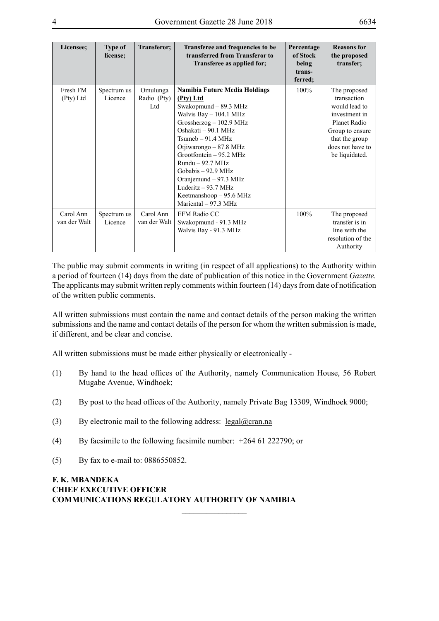| Licensee;                 | <b>Type of</b><br>license; | Transferor;                    | Transferee and frequencies to be<br>transferred from Transferor to<br>Transferee as applied for;                                                                                                                                                                                                                                                                                        | Percentage<br>of Stock<br>being<br>trans-<br>ferred; | <b>Reasons for</b><br>the proposed<br>transfer;                                                                                                          |
|---------------------------|----------------------------|--------------------------------|-----------------------------------------------------------------------------------------------------------------------------------------------------------------------------------------------------------------------------------------------------------------------------------------------------------------------------------------------------------------------------------------|------------------------------------------------------|----------------------------------------------------------------------------------------------------------------------------------------------------------|
| Fresh FM<br>(Pty) Ltd     | Spectrum us<br>Licence     | Omulunga<br>Radio (Pty)<br>Ltd | <b>Namibia Future Media Holdings</b><br>(Pty) Ltd<br>Swakopmund - 89.3 MHz<br>Walvis Bay $- 104.1$ MHz<br>Grossherzog - 102.9 MHz<br>Oshakati - 90.1 MHz<br>$Tsumeb - 91.4 MHz$<br>Otjiwarongo – 87.8 MHz<br>Grootfontein - 95.2 MHz<br>$Rundu - 92.7 MHz$<br>Gobabis $-92.9$ MHz<br>Oranjemund – 97.3 MHz<br>Luderitz $-93.7$ MHz<br>Keetmanshoop $-95.6$ MHz<br>Mariental $-97.3$ MHz | 100%                                                 | The proposed<br>transaction<br>would lead to<br>investment in<br>Planet Radio<br>Group to ensure<br>that the group<br>does not have to<br>be liquidated. |
| Carol Ann<br>van der Walt | Spectrum us<br>Licence     | Carol Ann<br>van der Walt      | <b>EFM Radio CC</b><br>Swakopmund - 91.3 MHz<br>Walvis Bay - 91.3 MHz                                                                                                                                                                                                                                                                                                                   | 100%                                                 | The proposed<br>transfer is in<br>line with the<br>resolution of the<br>Authority                                                                        |

The public may submit comments in writing (in respect of all applications) to the Authority within a period of fourteen (14) days from the date of publication of this notice in the Government *Gazette.*  The applicants may submit written reply comments within fourteen (14) days from date of notification of the written public comments.

All written submissions must contain the name and contact details of the person making the written submissions and the name and contact details of the person for whom the written submission is made, if different, and be clear and concise.

All written submissions must be made either physically or electronically -

- (1) By hand to the head offices of the Authority, namely Communication House, 56 Robert Mugabe Avenue, Windhoek;
- (2) By post to the head offices of the Authority, namely Private Bag 13309, Windhoek 9000;

 $\frac{1}{2}$ 

- (3) By electronic mail to the following address:  $\text{legal@cran}$ .na
- (4) By facsimile to the following facsimile number: +264 61 222790; or
- (5) By fax to e-mail to: 0886550852.

# **F. K. MBANDEKA CHIEF EXECUTIVE OFFICER COMMUNICATIONS REGULATORY AUTHORITY OF NAMIBIA**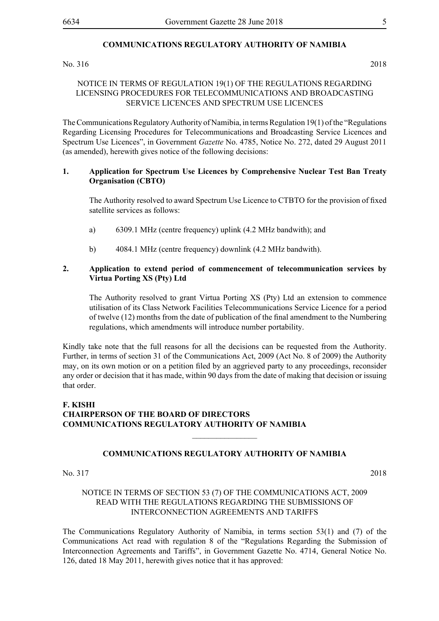#### **COMMUNICATIONS REGULATORY AUTHORITY OF NAMIBIA**

#### No. 316 2018

# NOTICE IN TERMS OF REGULATION 19(1) OF THE REGULATIONS REGARDING LICENSING PROCEDURES FOR TELECOMMUNICATIONS AND BROADCASTING SERVICE LICENCES AND SPECTRUM USE LICENCES

The Communications Regulatory Authority of Namibia, in terms Regulation 19(1) of the "Regulations Regarding Licensing Procedures for Telecommunications and Broadcasting Service Licences and Spectrum Use Licences", in Government *Gazette* No. 4785, Notice No. 272, dated 29 August 2011 (as amended), herewith gives notice of the following decisions:

#### **1. Application for Spectrum Use Licences by Comprehensive Nuclear Test Ban Treaty Organisation (CBTO)**

The Authority resolved to award Spectrum Use Licence to CTBTO for the provision of fixed satellite services as follows:

- a) 6309.1 MHz (centre frequency) uplink (4.2 MHz bandwith); and
- b) 4084.1 MHz (centre frequency) downlink (4.2 MHz bandwith).

#### **2. Application to extend period of commencement of telecommunication services by Virtua Porting XS (Pty) Ltd**

The Authority resolved to grant Virtua Porting XS (Pty) Ltd an extension to commence utilisation of its Class Network Facilities Telecommunications Service Licence for a period of twelve (12) months from the date of publication of the final amendment to the Numbering regulations, which amendments will introduce number portability.

Kindly take note that the full reasons for all the decisions can be requested from the Authority. Further, in terms of section 31 of the Communications Act, 2009 (Act No. 8 of 2009) the Authority may, on its own motion or on a petition filed by an aggrieved party to any proceedings, reconsider any order or decision that it has made, within 90 days from the date of making that decision or issuing that order.

# **F. KISHI CHAIRPERSON OF THE BOARD OF DIRECTORS COMMUNICATIONS REGULATORY AUTHORITY OF NAMIBIA**

#### **COMMUNICATIONS REGULATORY AUTHORITY OF NAMIBIA**

 $\frac{1}{2}$ 

No. 317 2018

### NOTICE IN TERMS OF SECTION 53 (7) OF THE COMMUNICATIONS ACT, 2009 READ WITH THE REGULATIONS REGARDING THE SUBMISSIONS OF INTERCONNECTION AGREEMENTS AND TARIFFS

The Communications Regulatory Authority of Namibia, in terms section 53(1) and (7) of the Communications Act read with regulation 8 of the "Regulations Regarding the Submission of Interconnection Agreements and Tariffs", in Government Gazette No. 4714, General Notice No. 126, dated 18 May 2011, herewith gives notice that it has approved: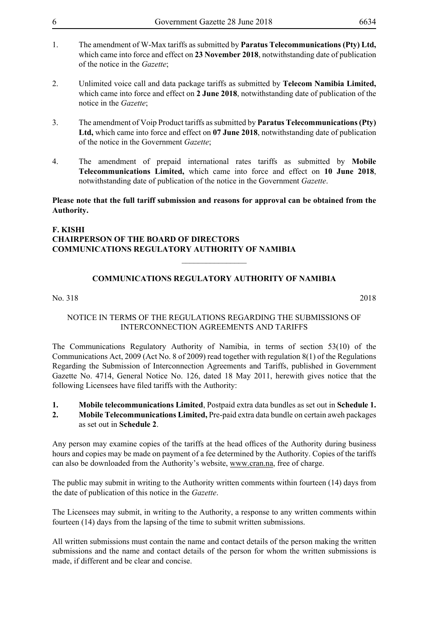- 1. The amendment of W-Max tariffs as submitted by **Paratus Telecommunications (Pty) Ltd,**  which came into force and effect on **23 November 2018**, notwithstanding date of publication of the notice in the *Gazette*;
- 2. Unlimited voice call and data package tariffs as submitted by **Telecom Namibia Limited,**  which came into force and effect on **2 June 2018**, notwithstanding date of publication of the notice in the *Gazette*;
- 3. The amendment of Voip Product tariffs as submitted by **Paratus Telecommunications (Pty) Ltd,** which came into force and effect on **07 June 2018**, notwithstanding date of publication of the notice in the Government *Gazette*;
- 4. The amendment of prepaid international rates tariffs as submitted by **Mobile Telecommunications Limited,** which came into force and effect on **10 June 2018**, notwithstanding date of publication of the notice in the Government *Gazette*.

**Please note that the full tariff submission and reasons for approval can be obtained from the Authority.** 

# **F. KISHI CHAIRPERSON OF THE BOARD OF DIRECTORS COMMUNICATIONS REGULATORY AUTHORITY OF NAMIBIA**

# **COMMUNICATIONS REGULATORY AUTHORITY OF NAMIBIA**

 $\overline{\phantom{a}}$  , where  $\overline{\phantom{a}}$ 

No. 318 2018

# NOTICE IN TERMS OF THE REGULATIONS REGARDING THE SUBMISSIONS OF INTERCONNECTION AGREEMENTS AND TARIFFS

The Communications Regulatory Authority of Namibia, in terms of section 53(10) of the Communications Act, 2009 (Act No. 8 of 2009) read together with regulation 8(1) of the Regulations Regarding the Submission of Interconnection Agreements and Tariffs, published in Government Gazette No. 4714, General Notice No. 126, dated 18 May 2011, herewith gives notice that the following Licensees have filed tariffs with the Authority:

# **1. Mobile telecommunications Limited**, Postpaid extra data bundles as set out in **Schedule 1.**

**2. Mobile Telecommunications Limited,** Pre-paid extra data bundle on certain aweh packages as set out in **Schedule 2**.

Any person may examine copies of the tariffs at the head offices of the Authority during business hours and copies may be made on payment of a fee determined by the Authority. Copies of the tariffs can also be downloaded from the Authority's website, www.cran.na, free of charge.

The public may submit in writing to the Authority written comments within fourteen (14) days from the date of publication of this notice in the *Gazette*.

The Licensees may submit, in writing to the Authority, a response to any written comments within fourteen (14) days from the lapsing of the time to submit written submissions.

All written submissions must contain the name and contact details of the person making the written submissions and the name and contact details of the person for whom the written submissions is made, if different and be clear and concise.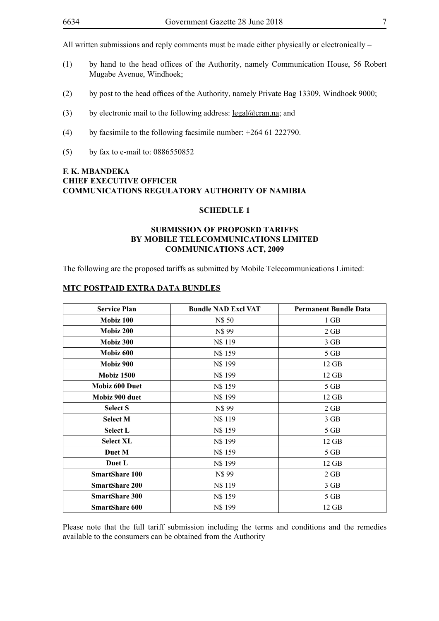- (1) by hand to the head offices of the Authority, namely Communication House, 56 Robert Mugabe Avenue, Windhoek;
- (2) by post to the head offices of the Authority, namely Private Bag 13309, Windhoek 9000;
- (3) by electronic mail to the following address:  $\text{legal@cran.na}$ ; and
- (4) by facsimile to the following facsimile number:  $+264$  61 222790.
- (5) by fax to e-mail to: 0886550852

# **F. K. MBANDEKA CHIEF EXECUTIVE OFFICER COMMUNICATIONS REGULATORY AUTHORITY OF NAMIBIA**

### **SCHEDULE 1**

# **SUBMISSION OF PROPOSED TARIFFS BY MOBILE TELECOMMUNICATIONS LIMITED COMMUNICATIONS ACT, 2009**

The following are the proposed tariffs as submitted by Mobile Telecommunications Limited:

#### **MTC POSTPAID EXTRA DATA BUNDLES**

| <b>Service Plan</b>   | <b>Bundle NAD Excl VAT</b> | <b>Permanent Bundle Data</b> |
|-----------------------|----------------------------|------------------------------|
| Mobiz 100             | N\$ 50                     | 1 GB                         |
| Mobiz 200             | N\$99                      | 2 GB                         |
| Mobiz 300             | N\$ 119                    | 3 GB                         |
| Mobiz 600             | N\$ 159                    | 5 GB                         |
| Mobiz 900             | N\$ 199                    | $12$ GB                      |
| <b>Mobiz 1500</b>     | N\$ 199                    | $12$ GB                      |
| <b>Mobiz 600 Duet</b> | N\$ 159                    | 5 GB                         |
| Mobiz 900 duet        | N\$ 199                    | 12 GB                        |
| <b>Select S</b>       | N\$99                      | 2 GB                         |
| <b>Select M</b>       | N\$ 119                    | 3 GB                         |
| <b>Select L</b>       | N\$ 159                    | 5 GB                         |
| <b>Select XL</b>      | N\$ 199                    | $12$ GB                      |
| Duet M                | N\$ 159                    | 5 GB                         |
| Duet L                | N\$ 199                    | $12$ GB                      |
| <b>SmartShare 100</b> | N\$99                      | 2 GB                         |
| <b>SmartShare 200</b> | N\$ 119                    | 3 GB                         |
| <b>SmartShare 300</b> | N\$ 159                    | 5 GB                         |
| <b>SmartShare 600</b> | N\$ 199                    | $12$ GB                      |

Please note that the full tariff submission including the terms and conditions and the remedies available to the consumers can be obtained from the Authority